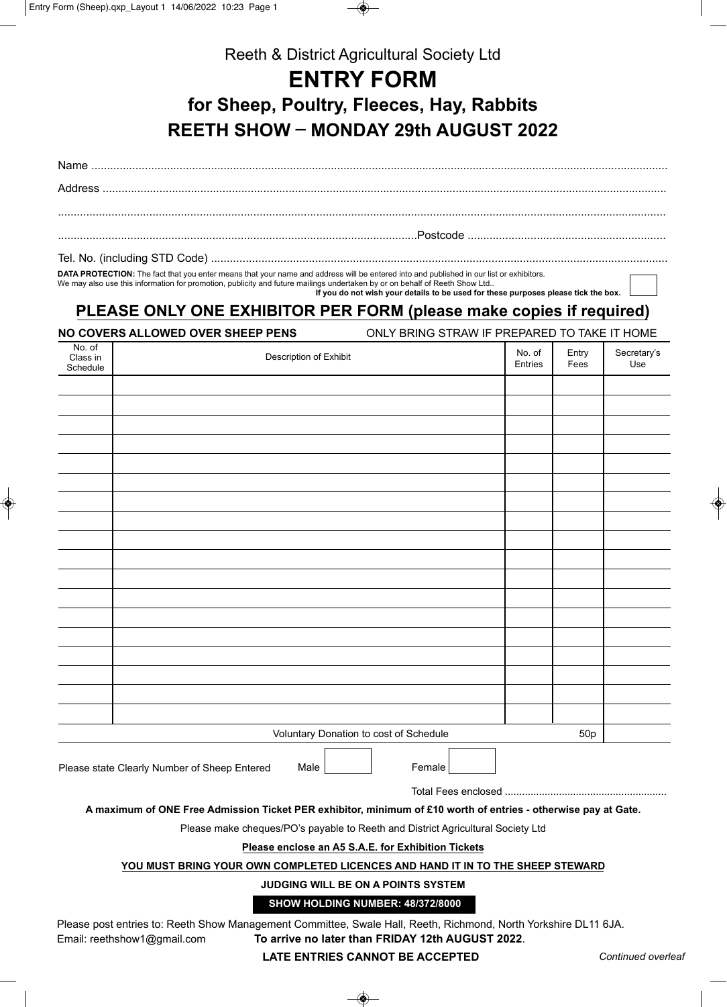

Reeth & District Agricultural Society Ltd

## **ENTRY FORM**

**for Sheep, Poultry, Fleeces, Hay, Rabbits REETH SHOW \_ MONDAY 29th AUGUST 2022**

Name ....................................................................................................................................................................................... Address ...................................................................................................................................................................................

.................................................................................................................................................................................................

..................................................................................................................Postcode ...............................................................

Tel. No. (including STD Code) ...............

**DATA PROTECTION:** The fact that you enter means that your name and address will be entered into and published in our list or exhibitors. We may also use this information for promotion, publicity and future mailings undertaken by or on behalf of Reeth Show Ltd..  **If you do not wish your details to be used for these purposes please tick the box.**

## **PLEASE ONLY ONE EXHIBITOR PER FORM (please make copies if required)**

**NO COVERS ALLOWED OVER SHEEP PENS** ONLY BRING STRAW IF PREPARED TO TAKE IT HOME

| No. of<br>Class in<br>Schedule                                 | Description of Exhibit     | No. of<br>Entries | Entry<br>Fees | Secretary's<br>Use |  |
|----------------------------------------------------------------|----------------------------|-------------------|---------------|--------------------|--|
|                                                                |                            |                   |               |                    |  |
|                                                                |                            |                   |               |                    |  |
|                                                                |                            |                   |               |                    |  |
|                                                                |                            |                   |               |                    |  |
|                                                                |                            |                   |               |                    |  |
|                                                                |                            |                   |               |                    |  |
|                                                                |                            |                   |               |                    |  |
|                                                                |                            |                   |               |                    |  |
|                                                                |                            |                   |               |                    |  |
|                                                                |                            |                   |               |                    |  |
|                                                                |                            |                   |               |                    |  |
|                                                                |                            |                   |               |                    |  |
|                                                                |                            |                   |               |                    |  |
|                                                                |                            |                   |               |                    |  |
|                                                                |                            |                   |               |                    |  |
|                                                                |                            |                   |               |                    |  |
|                                                                |                            |                   |               |                    |  |
|                                                                |                            |                   |               |                    |  |
| Voluntary Donation to cost of Schedule                         |                            |                   | 50p           |                    |  |
| Female<br>Please state Clearly Number of Sheep Entered<br>Male |                            |                   |               |                    |  |
|                                                                | <b>Total Fees enclosed</b> |                   |               |                    |  |

**A maximum of ONE Free Admission Ticket PER exhibitor, minimum of £10 worth of entries - otherwise pay at Gate.**

Please make cheques/PO's payable to Reeth and District Agricultural Society Ltd

**Please enclose an A5 S.A.E. for Exhibition Tickets**

## **YOU MUST BRING YOUR OWN COMPLETED LICENCES AND HAND IT IN TO THE SHEEP STEWARD**

**JUDGING WILL BE ON A POINTS SYSTEM**

**SHOW HOLDING NUMBER: 48/372/8000**

Please post entries to: Reeth Show Management Committee, Swale Hall, Reeth, Richmond, North Yorkshire DL11 6JA. Email: reethshow1@gmail.com **To arrive no later than FRIDAY 12th AUGUST 2022**.

**LATE ENTRIES CANNOT BE ACCEPTED** *Continued overleaf*

◈